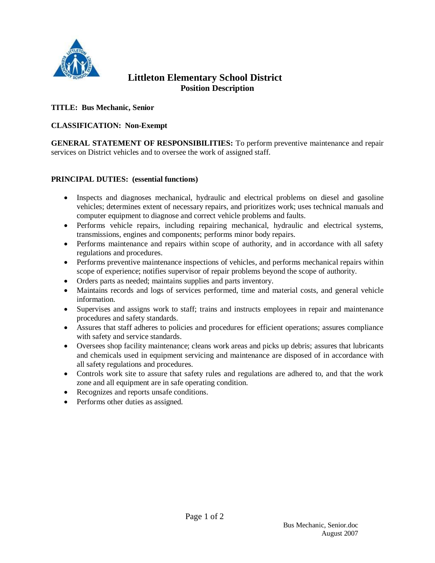

# **Littleton Elementary School District Position Description**

## **TITLE: Bus Mechanic, Senior**

## **CLASSIFICATION: Non-Exempt**

**GENERAL STATEMENT OF RESPONSIBILITIES:** To perform preventive maintenance and repair services on District vehicles and to oversee the work of assigned staff.

#### **PRINCIPAL DUTIES: (essential functions)**

- Inspects and diagnoses mechanical, hydraulic and electrical problems on diesel and gasoline vehicles; determines extent of necessary repairs, and prioritizes work; uses technical manuals and computer equipment to diagnose and correct vehicle problems and faults.
- Performs vehicle repairs, including repairing mechanical, hydraulic and electrical systems, transmissions, engines and components; performs minor body repairs.
- Performs maintenance and repairs within scope of authority, and in accordance with all safety regulations and procedures.
- Performs preventive maintenance inspections of vehicles, and performs mechanical repairs within scope of experience; notifies supervisor of repair problems beyond the scope of authority.
- Orders parts as needed; maintains supplies and parts inventory.
- Maintains records and logs of services performed, time and material costs, and general vehicle information.
- Supervises and assigns work to staff; trains and instructs employees in repair and maintenance procedures and safety standards.
- Assures that staff adheres to policies and procedures for efficient operations; assures compliance with safety and service standards.
- Oversees shop facility maintenance; cleans work areas and picks up debris; assures that lubricants and chemicals used in equipment servicing and maintenance are disposed of in accordance with all safety regulations and procedures.
- Controls work site to assure that safety rules and regulations are adhered to, and that the work zone and all equipment are in safe operating condition.
- Recognizes and reports unsafe conditions.
- Performs other duties as assigned.